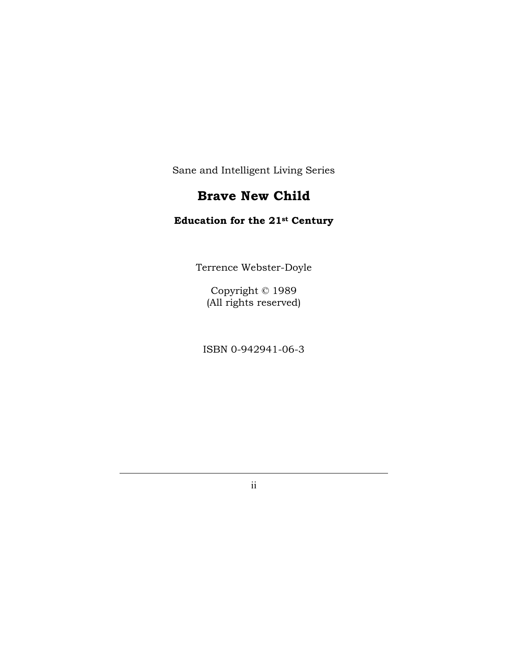Sane and Intelligent Living Series

# **Brave New Child**

### **Education for the 21st Century**

Terrence Webster-Doyle

Copyright © 1989 (All rights reserved)

ISBN 0-942941-06-3

ii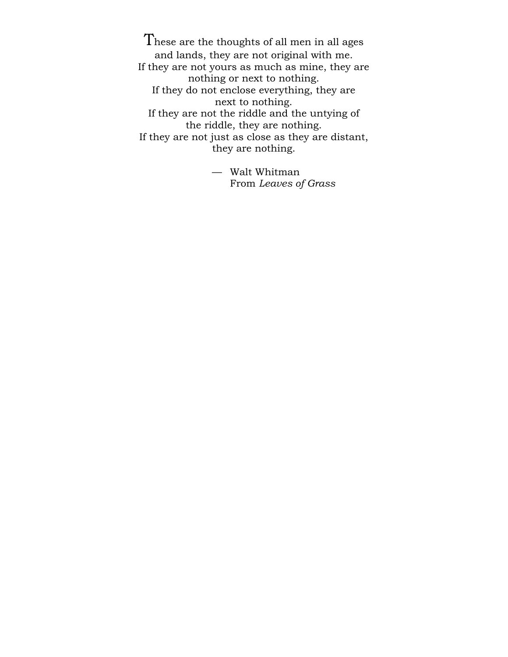These are the thoughts of all men in all ages and lands, they are not original with me. If they are not yours as much as mine, they are nothing or next to nothing. If they do not enclose everything, they are next to nothing. If they are not the riddle and the untying of the riddle, they are nothing. If they are not just as close as they are distant, they are nothing.

> — Walt Whitman From *Leaves of Grass*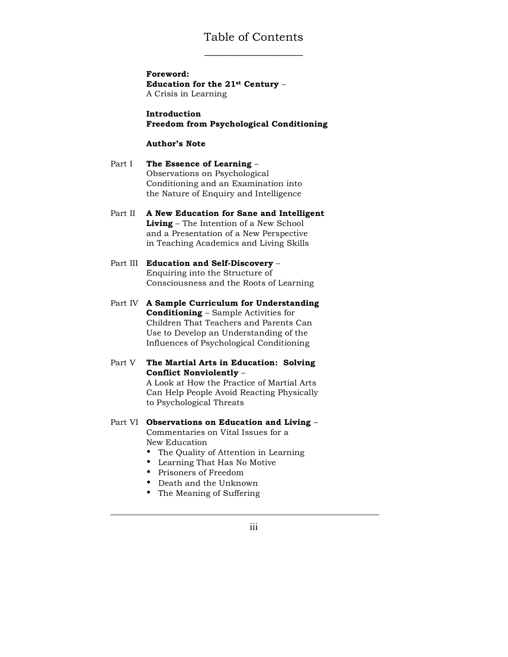### Table of Contents \_\_\_\_\_\_\_\_\_\_\_\_\_\_\_\_\_

**Foreword: Education for the 21st Century** – A Crisis in Learning

**Introduction Freedom from Psychological Conditioning**

#### **Author's Note**

Part I **The Essence of Learning** – Observations on Psychological Conditioning and an Examination into the Nature of Enquiry and Intelligence

- Part II **A New Education for Sane and Intelligent Living** – The Intention of a New School and a Presentation of a New Perspective in Teaching Academics and Living Skills
- Part III **Education and Self-Discovery**  Enquiring into the Structure of Consciousness and the Roots of Learning
- Part IV **A Sample Curriculum for Understanding Conditioning** – Sample Activities for Children That Teachers and Parents Can Use to Develop an Understanding of the Influences of Psychological Conditioning
- Part V **The Martial Arts in Education: Solving Conflict Nonviolently** –

A Look at How the Practice of Martial Arts Can Help People Avoid Reacting Physically to Psychological Threats

#### Part VI **Observations on Education and Living** –

Commentaries on Vital Issues for a New Education

- The Quality of Attention in Learning
- Learning That Has No Motive
- Prisoners of Freedom
- Death and the Unknown
- The Meaning of Suffering

iii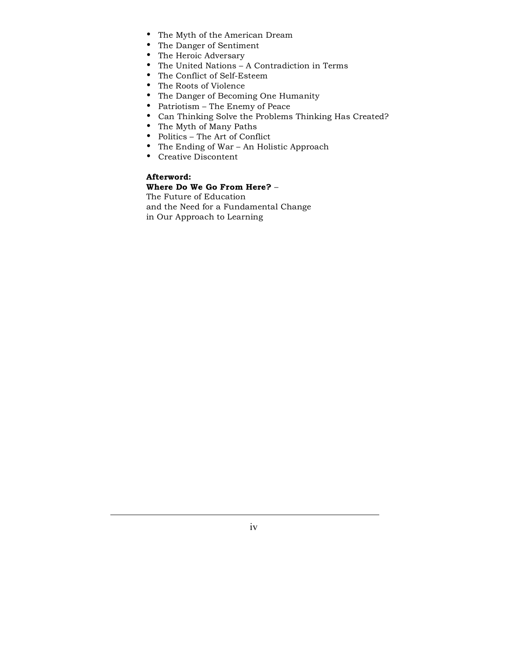- The Myth of the American Dream
- The Danger of Sentiment
- The Heroic Adversary
- The United Nations A Contradiction in Terms
- The Conflict of Self-Esteem
- The Roots of Violence
- The Danger of Becoming One Humanity
- Patriotism The Enemy of Peace
- Can Thinking Solve the Problems Thinking Has Created?
- The Myth of Many Paths
- Politics The Art of Conflict
- The Ending of War An Holistic Approach
- Creative Discontent

#### **Afterword: Where Do We Go From Here?** –

The Future of Education and the Need for a Fundamental Change in Our Approach to Learning

iv